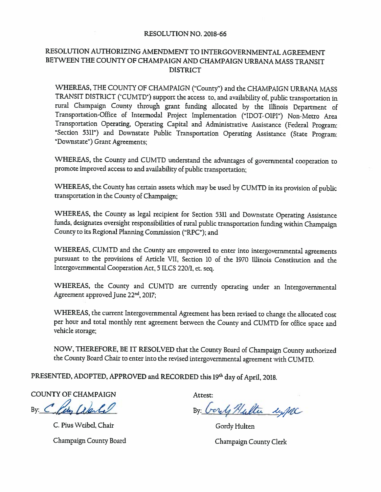#### RESOLUTION NO. 2018-66

#### RESOLUTION AUTHORIZING AMENDMENT TO INTERGOVERNMENTAL AGREEMENT BETWEEN THE COUNTY OF CHAMPAIGN AND CHAMPAIGN URBANA MASS TRANSIT **DISTRICT**

WHEREAS, THE COUNTY OF CHAMPAIGN ("County") and the CHAMPAIGN URBANA MASS TRANSIT DISTRICT ('CUMTD') support the access to, and availability of, public transportation in rural Champaign County through grant funding allocated by the Illinois Department of Transportation-Office of Intermodal Project Implementation ("IDOT-OIPI") Non-Metro Area Transportation Operating, Operating Capital and Administrative Assistance (Federal Program: "Section 5311") and Downstate Public Transportation Operating Assistance (State Program: "Downstate") Grant Agreements;

WHEREAS, the County and CUMTD understand the advantages of governmental cooperation to promote improved access to and availability of public transportation;

WHEREAS, the County has certain assets which may be used by CUMTD in its provision of public transportation in the County of Champaign;

WHEREAS, the County as legal recipient for Section 5311 and Downstate Operating Assistance funds, designates oversight responsibilities of rural public transportation funding within Champaign County to its Regional Planning Commission ("RPC"); and

WHEREAS, CUMTD and the County are empowered to enter into intergovernmental agreements pursuant to the provisions of Article VII, Section 10 of the 1970 Illinois Constitution and the Intergovernmental Cooperation Act, 5 ILCS 220/1, et. seq.

WHEREAS, the County and CUMTD are currently operating under an Intergovernmental Agreement approved June 22<sup>nd</sup>, 2017;

WHEREAS, the current Intergovernmental Agreement has been revised to change the allocated cost per hour and total monthly rent agreement between the County and CUMTD for office space and vehicle storage;

NOW, THEREFORE, BE IT RESOLVED that the County Board of Champaign County authorized the County Board Chair to enter into the revised intergovernmental agreement with CUMTD.

PRESENTED, ADOPTED, APPROVED and RECORDED this 19th day of April, 2018.

**COUNTY OF CHAMPAIGN** 

By: Claim ale

C. Pius Weibel, Chair

Champaign County Board

Attest:

By Gordy Hulter uppe

Gordy Hulten Champaign County Clerk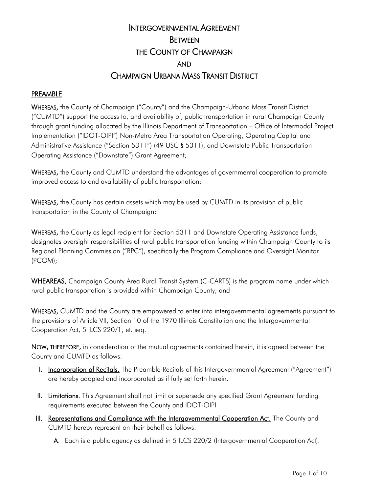# INTERGOVERNMENTAL AGREEMENT **BETWEEN** THE COUNTY OF CHAMPAIGN AND CHAMPAIGN URBANA MASS TRANSIT DISTRICT

#### PREAMBLE

WHEREAS, the County of Champaign ("County") and the Champaign-Urbana Mass Transit District ("CUMTD") support the access to, and availability of, public transportation in rural Champaign County through grant funding allocated by the Illinois Department of Transportation – Office of Intermodal Project Implementation ("IDOT-OIPI") Non-Metro Area Transportation Operating, Operating Capital and Administrative Assistance ("Section 5311") (49 USC § 5311), and Downstate Public Transportation Operating Assistance ("Downstate") Grant Agreement;

WHEREAS, the County and CUMTD understand the advantages of governmental cooperation to promote improved access to and availability of public transportation;

WHEREAS, the County has certain assets which may be used by CUMTD in its provision of public transportation in the County of Champaign;

WHEREAS, the County as legal recipient for Section 5311 and Downstate Operating Assistance funds, designates oversight responsibilities of rural public transportation funding within Champaign County to its Regional Planning Commission ("RPC"), specifically the Program Compliance and Oversight Monitor (PCOM);

WHEAREAS, Champaign County Area Rural Transit System (C-CARTS) is the program name under which rural public transportation is provided within Champaign County; and

WHEREAS, CUMTD and the County are empowered to enter into intergovernmental agreements pursuant to the provisions of Article VII, Section 10 of the 1970 Illinois Constitution and the Intergovernmental Cooperation Act, 5 ILCS 220/1, et. seq.

NOW, THEREFORE, in consideration of the mutual agreements contained herein, it is agreed between the County and CUMTD as follows:

- I. Incorporation of Recitals. The Preamble Recitals of this Intergovernmental Agreement ("Agreement") are hereby adopted and incorporated as if fully set forth herein.
- II. Limitations. This Agreement shall not limit or supersede any specified Grant Agreement funding requirements executed between the County and IDOT-OIPI.
- III. Representations and Compliance with the Intergovernmental Cooperation Act. The County and CUMTD hereby represent on their behalf as follows:

A. Each is a public agency as defined in 5 ILCS 220/2 (Intergovernmental Cooperation Act).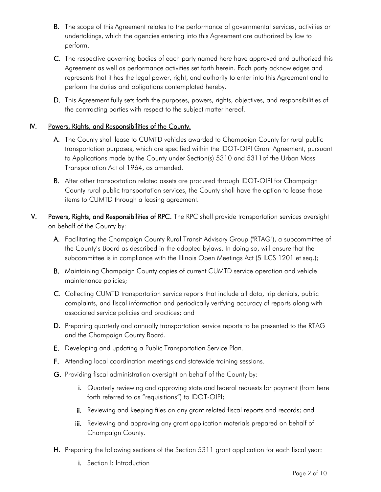- B. The scope of this Agreement relates to the performance of governmental services, activities or undertakings, which the agencies entering into this Agreement are authorized by law to perform.
- C. The respective governing bodies of each party named here have approved and authorized this Agreement as well as performance activities set forth herein. Each party acknowledges and represents that it has the legal power, right, and authority to enter into this Agreement and to perform the duties and obligations contemplated hereby.
- D. This Agreement fully sets forth the purposes, powers, rights, objectives, and responsibilities of the contracting parties with respect to the subject matter hereof.

### IV. Powers, Rights, and Responsibilities of the County.

- A. The County shall lease to CUMTD vehicles awarded to Champaign County for rural public transportation purposes, which are specified within the IDOT-OIPI Grant Agreement, pursuant to Applications made by the County under Section(s) 5310 and 5311of the Urban Mass Transportation Act of 1964, as amended.
- B. After other transportation related assets are procured through IDOT-OIPI for Champaign County rural public transportation services, the County shall have the option to lease those items to CUMTD through a leasing agreement.
- V. Powers, Rights, and Responsibilities of RPC. The RPC shall provide transportation services oversight on behalf of the County by:
	- A. Facilitating the Champaign County Rural Transit Advisory Group ("RTAG"), a subcommittee of the County's Board as described in the adopted bylaws. In doing so, will ensure that the subcommittee is in compliance with the Illinois Open Meetings Act (5 ILCS 1201 et seq.);
	- B. Maintaining Champaign County copies of current CUMTD service operation and vehicle maintenance policies;
	- C. Collecting CUMTD transportation service reports that include all data, trip denials, public complaints, and fiscal information and periodically verifying accuracy of reports along with associated service policies and practices; and
	- D. Preparing quarterly and annually transportation service reports to be presented to the RTAG and the Champaign County Board.
	- E. Developing and updating a Public Transportation Service Plan.
	- F. Attending local coordination meetings and statewide training sessions.
	- G. Providing fiscal administration oversight on behalf of the County by:
		- i. Quarterly reviewing and approving state and federal requests for payment (from here forth referred to as "requisitions") to IDOT-OIPI;
		- ii. Reviewing and keeping files on any grant related fiscal reports and records; and
		- iii. Reviewing and approving any grant application materials prepared on behalf of Champaign County.
	- H. Preparing the following sections of the Section 5311 grant application for each fiscal year:
		- i. Section I: Introduction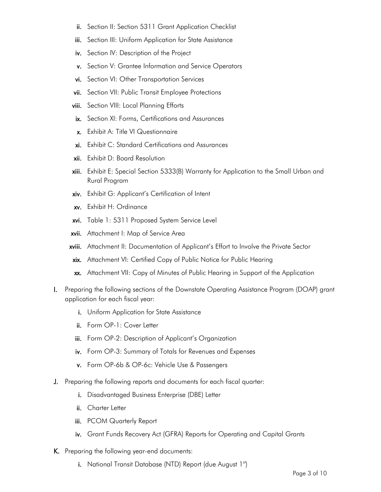- ii. Section II: Section 5311 Grant Application Checklist
- iii. Section III: Uniform Application for State Assistance
- iv. Section IV: Description of the Project
- v. Section V: Grantee Information and Service Operators
- vi. Section VI: Other Transportation Services
- vii. Section VII: Public Transit Employee Protections
- viii. Section VIII: Local Planning Efforts
- ix. Section XI: Forms, Certifications and Assurances
- x. Exhibit A: Title VI Questionnaire
- xi. Exhibit C: Standard Certifications and Assurances
- xii. Exhibit D: Board Resolution
- xiii. Exhibit E: Special Section 5333(B) Warranty for Application to the Small Urban and Rural Program
- xiv. Exhibit G: Applicant's Certification of Intent
- xv. Exhibit H: Ordinance
- xvi. Table 1: 5311 Proposed System Service Level
- xvii. Attachment I: Map of Service Area
- xviii. Attachment II: Documentation of Applicant's Effort to Involve the Private Sector
- xix. Attachment VI: Certified Copy of Public Notice for Public Hearing
- xx. Attachment VII: Copy of Minutes of Public Hearing in Support of the Application
- I. Preparing the following sections of the Downstate Operating Assistance Program (DOAP) grant application for each fiscal year:
	- i. Uniform Application for State Assistance
	- ii. Form OP-1: Cover Letter
	- iii. Form OP-2: Description of Applicant's Organization
	- iv. Form OP-3: Summary of Totals for Revenues and Expenses
	- v. Form OP-6b & OP-6c: Vehicle Use & Passengers
- J. Preparing the following reports and documents for each fiscal quarter:
	- i. Disadvantaged Business Enterprise (DBE) Letter
	- ii. Charter Letter
	- iii. PCOM Quarterly Report
	- iv. Grant Funds Recovery Act (GFRA) Reports for Operating and Capital Grants
- K. Preparing the following year-end documents:
	- i. National Transit Database (NTD) Report (due August 1st)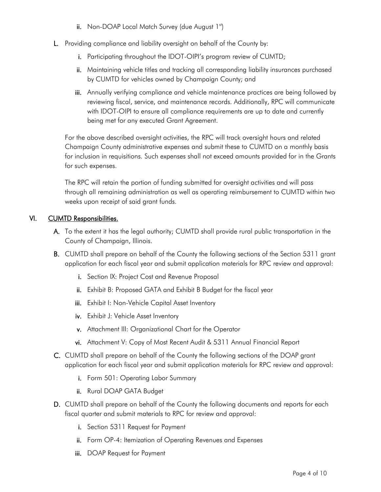- ii. Non-DOAP Local Match Survey (due August  $1<sup>st</sup>$ )
- L. Providing compliance and liability oversight on behalf of the County by:
	- i. Participating throughout the IDOT-OIPI's program review of CUMTD;
	- ii. Maintaining vehicle titles and tracking all corresponding liability insurances purchased by CUMTD for vehicles owned by Champaign County; and
	- iii. Annually verifying compliance and vehicle maintenance practices are being followed by reviewing fiscal, service, and maintenance records. Additionally, RPC will communicate with IDOT-OIPI to ensure all compliance requirements are up to date and currently being met for any executed Grant Agreement.

For the above described oversight activities, the RPC will track oversight hours and related Champaign County administrative expenses and submit these to CUMTD on a monthly basis for inclusion in requisitions. Such expenses shall not exceed amounts provided for in the Grants for such expenses.

The RPC will retain the portion of funding submitted for oversight activities and will pass through all remaining administration as well as operating reimbursement to CUMTD within two weeks upon receipt of said grant funds.

# VI. CUMTD Responsibilities.

- A. To the extent it has the legal authority; CUMTD shall provide rural public transportation in the County of Champaign, Illinois.
- B. CUMTD shall prepare on behalf of the County the following sections of the Section 5311 grant application for each fiscal year and submit application materials for RPC review and approval:
	- i. Section IX: Project Cost and Revenue Proposal
	- ii. Exhibit B: Proposed GATA and Exhibit B Budget for the fiscal year
	- iii. Exhibit I: Non-Vehicle Capital Asset Inventory
	- iv. Exhibit J: Vehicle Asset Inventory
	- v. Attachment III: Organizational Chart for the Operator
	- vi. Attachment V: Copy of Most Recent Audit & 5311 Annual Financial Report
- C. CUMTD shall prepare on behalf of the County the following sections of the DOAP grant application for each fiscal year and submit application materials for RPC review and approval:
	- i. Form 501: Operating Labor Summary
	- ii. Rural DOAP GATA Budget
- D. CUMTD shall prepare on behalf of the County the following documents and reports for each fiscal quarter and submit materials to RPC for review and approval:
	- i. Section 5311 Request for Payment
	- ii. Form OP-4: Itemization of Operating Revenues and Expenses
	- iii. DOAP Request for Payment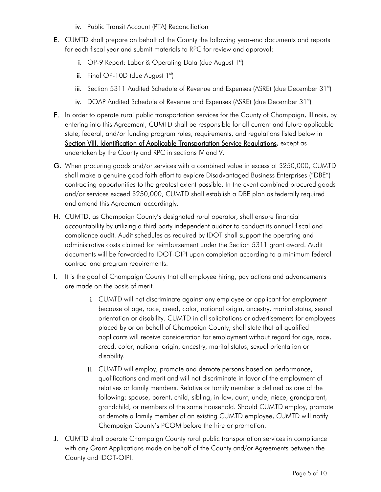- iv. Public Transit Account (PTA) Reconciliation
- E. CUMTD shall prepare on behalf of the County the following year-end documents and reports for each fiscal year and submit materials to RPC for review and approval:
	- i. OP-9 Report: Labor & Operating Data (due August  $1<sup>st</sup>$ )
	- ii. Final OP-10D (due August  $1<sup>st</sup>$ )
	- iii. Section 5311 Audited Schedule of Revenue and Expenses (ASRE) (due December 31st)
	- iv. DOAP Audited Schedule of Revenue and Expenses (ASRE) (due December 31st)
- F. In order to operate rural public transportation services for the County of Champaign, Illinois, by entering into this Agreement, CUMTD shall be responsible for all current and future applicable state, federal, and/or funding program rules, requirements, and regulations listed below in Section VIII. Identification of Applicable Transportation Service Regulations, except as undertaken by the County and RPC in sections IV and V.
- G. When procuring goods and/or services with a combined value in excess of \$250,000, CUMTD shall make a genuine good faith effort to explore Disadvantaged Business Enterprises ("DBE") contracting opportunities to the greatest extent possible. In the event combined procured goods and/or services exceed \$250,000, CUMTD shall establish a DBE plan as federally required and amend this Agreement accordingly.
- H. CUMTD, as Champaign County's designated rural operator, shall ensure financial accountability by utilizing a third party independent auditor to conduct its annual fiscal and compliance audit. Audit schedules as required by IDOT shall support the operating and administrative costs claimed for reimbursement under the Section 5311 grant award. Audit documents will be forwarded to IDOT-OIPI upon completion according to a minimum federal contract and program requirements.
- I. It is the goal of Champaign County that all employee hiring, pay actions and advancements are made on the basis of merit.
	- i. CUMTD will not discriminate against any employee or applicant for employment because of age, race, creed, color, national origin, ancestry, marital status, sexual orientation or disability. CUMTD in all solicitations or advertisements for employees placed by or on behalf of Champaign County; shall state that all qualified applicants will receive consideration for employment without regard for age, race, creed, color, national origin, ancestry, marital status, sexual orientation or disability.
	- ii. CUMTD will employ, promote and demote persons based on performance, qualifications and merit and will not discriminate in favor of the employment of relatives or family members. Relative or family member is defined as one of the following: spouse, parent, child, sibling, in-law, aunt, uncle, niece, grandparent, grandchild, or members of the same household. Should CUMTD employ, promote or demote a family member of an existing CUMTD employee, CUMTD will notify Champaign County's PCOM before the hire or promotion.
- J. CUMTD shall operate Champaign County rural public transportation services in compliance with any Grant Applications made on behalf of the County and/or Agreements between the County and IDOT-OIPI.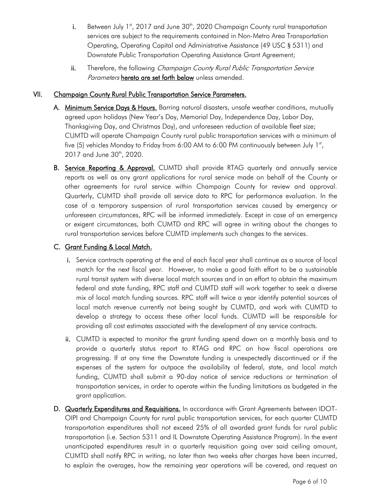- i. Between July 1st, 2017 and June 30<sup>th</sup>, 2020 Champaign County rural transportation services are subject to the requirements contained in Non-Metro Area Transportation Operating, Operating Capital and Administrative Assistance (49 USC § 5311) and Downstate Public Transportation Operating Assistance Grant Agreement;
- ii. Therefore, the following Champaign County Rural Public Transportation Service Parameters hereto are set forth below unless amended.

#### VII. Champaign County Rural Public Transportation Service Parameters.

- A. Minimum Service Days & Hours. Barring natural disasters, unsafe weather conditions, mutually agreed upon holidays (New Year's Day, Memorial Day, Independence Day, Labor Day, Thanksgiving Day, and Christmas Day), and unforeseen reduction of available fleet size; CUMTD will operate Champaign County rural public transportation services with a minimum of five (5) vehicles Monday to Friday from 6:00 AM to 6:00 PM continuously between July  $1<sup>st</sup>$ , 2017 and June 30<sup>th</sup>, 2020.
- B. Service Reporting & Approval. CUMTD shall provide RTAG quarterly and annually service reports as well as any grant applications for rural service made on behalf of the County or other agreements for rural service within Champaign County for review and approval. Quarterly, CUMTD shall provide all service data to RPC for performance evaluation. In the case of a temporary suspension of rural transportation services caused by emergency or unforeseen circumstances, RPC will be informed immediately. Except in case of an emergency or exigent circumstances, both CUMTD and RPC will agree in writing about the changes to rural transportation services before CUMTD implements such changes to the services.

#### C. Grant Funding & Local Match.

- i. Service contracts operating at the end of each fiscal year shall continue as a source of local match for the next fiscal year. However, to make a good faith effort to be a sustainable rural transit system with diverse local match sources and in an effort to obtain the maximum federal and state funding, RPC staff and CUMTD staff will work together to seek a diverse mix of local match funding sources. RPC staff will twice a year identify potential sources of local match revenue currently not being sought by CUMTD, and work with CUMTD to develop a strategy to access these other local funds. CUMTD will be responsible for providing all cost estimates associated with the development of any service contracts.
- ii. CUMTD is expected to monitor the grant funding spend down on a monthly basis and to provide a quarterly status report to RTAG and RPC on how fiscal operations are progressing. If at any time the Downstate funding is unexpectedly discontinued or if the expenses of the system far outpace the availability of federal, state, and local match funding, CUMTD shall submit a 90-day notice of service reductions or termination of transportation services, in order to operate within the funding limitations as budgeted in the grant application.
- D. Quarterly Expenditures and Requisitions. In accordance with Grant Agreements between IDOT-OIPI and Champaign County for rural public transportation services, for each quarter CUMTD transportation expenditures shall not exceed 25% of all awarded grant funds for rural public transportation (i.e. Section 5311 and IL Downstate Operating Assistance Program). In the event unanticipated expenditures result in a quarterly requisition going over said ceiling amount, CUMTD shall notify RPC in writing, no later than two weeks after charges have been incurred, to explain the overages, how the remaining year operations will be covered, and request an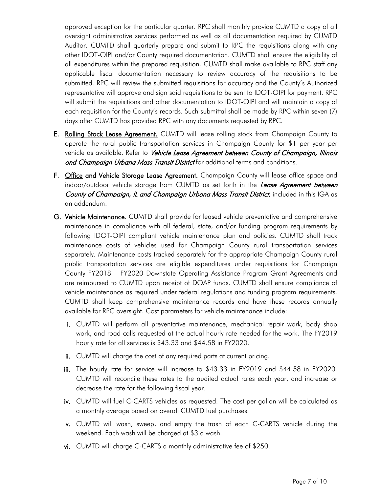approved exception for the particular quarter. RPC shall monthly provide CUMTD a copy of all oversight administrative services performed as well as all documentation required by CUMTD Auditor. CUMTD shall quarterly prepare and submit to RPC the requisitions along with any other IDOT-OIPI and/or County required documentation. CUMTD shall ensure the eligibility of all expenditures within the prepared requisition. CUMTD shall make available to RPC staff any applicable fiscal documentation necessary to review accuracy of the requisitions to be submitted. RPC will review the submitted requisitions for accuracy and the County's Authorized representative will approve and sign said requisitions to be sent to IDOT-OIPI for payment. RPC will submit the requisitions and other documentation to IDOT-OIPI and will maintain a copy of each requisition for the County's records. Such submittal shall be made by RPC within seven (7) days after CUMTD has provided RPC with any documents requested by RPC.

- E. Rolling Stock Lease Agreement. CUMTD will lease rolling stock from Champaign County to operate the rural public transportation services in Champaign County for \$1 per year per vehicle as available. Refer to *Vehicle Lease Agreement between County of Champaign, Illinois* and Champaign Urbana Mass Transit District for additional terms and conditions.
- F. Office and Vehicle Storage Lease Agreement. Champaign County will lease office space and indoor/outdoor vehicle storage from CUMTD as set forth in the *Lease Agreement between* County of Champaign, IL and Champaign Urbana Mass Transit District, included in this IGA as an addendum.
- G. Vehicle Maintenance. CUMTD shall provide for leased vehicle preventative and comprehensive maintenance in compliance with all federal, state, and/or funding program requirements by following IDOT-OIPI compliant vehicle maintenance plan and policies. CUMTD shall track maintenance costs of vehicles used for Champaign County rural transportation services separately. Maintenance costs tracked separately for the appropriate Champaign County rural public transportation services are eligible expenditures under requisitions for Champaign County FY2018 – FY2020 Downstate Operating Assistance Program Grant Agreements and are reimbursed to CUMTD upon receipt of DOAP funds. CUMTD shall ensure compliance of vehicle maintenance as required under federal regulations and funding program requirements. CUMTD shall keep comprehensive maintenance records and have these records annually available for RPC oversight. Cost parameters for vehicle maintenance include:
	- i. CUMTD will perform all preventative maintenance, mechanical repair work, body shop work, and road calls requested at the actual hourly rate needed for the work. The FY2019 hourly rate for all services is \$43.33 and \$44.58 in FY2020.
	- ii. CUMTD will charge the cost of any required parts at current pricing.
	- iii. The hourly rate for service will increase to \$43.33 in FY2019 and \$44.58 in FY2020. CUMTD will reconcile these rates to the audited actual rates each year, and increase or decrease the rate for the following fiscal year.
	- iv. CUMTD will fuel C-CARTS vehicles as requested. The cost per gallon will be calculated as a monthly average based on overall CUMTD fuel purchases.
	- v. CUMTD will wash, sweep, and empty the trash of each C-CARTS vehicle during the weekend. Each wash will be charged at \$3 a wash.
	- vi. CUMTD will charge C-CARTS a monthly administrative fee of \$250.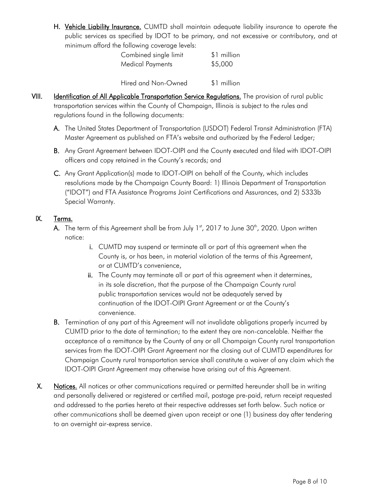H. Vehicle Liability Insurance. CUMTD shall maintain adequate liability insurance to operate the public services as specified by IDOT to be primary, and not excessive or contributory, and at minimum afford the following coverage levels:

| Combined single limit   | \$1 million |
|-------------------------|-------------|
| <b>Medical Payments</b> | \$5,000     |
| Hired and Non-Owned     | \$1 million |

VIII. Identification of All Applicable Transportation Service Regulations. The provision of rural public transportation services within the County of Champaign, Illinois is subject to the rules and regulations found in the following documents:

- A. The United States Department of Transportation (USDOT) Federal Transit Administration (FTA) Master Agreement as published on FTA's website and authorized by the Federal Ledger;
- B. Any Grant Agreement between IDOT-OIPI and the County executed and filed with IDOT-OIPI officers and copy retained in the County's records; and
- C. Any Grant Application(s) made to IDOT-OIPI on behalf of the County, which includes resolutions made by the Champaign County Board: 1) Illinois Department of Transportation ("IDOT") and FTA Assistance Programs Joint Certifications and Assurances, and 2) 5333b Special Warranty.

# IX. Terms.

- **A.** The term of this Agreement shall be from July 1st, 2017 to June 30<sup>th</sup>, 2020. Upon written notice:
	- i. CUMTD may suspend or terminate all or part of this agreement when the County is, or has been, in material violation of the terms of this Agreement, or at CUMTD's convenience,
	- ii. The County may terminate all or part of this agreement when it determines, in its sole discretion, that the purpose of the Champaign County rural public transportation services would not be adequately served by continuation of the IDOT-OIPI Grant Agreement or at the County's convenience.
- B. Termination of any part of this Agreement will not invalidate obligations properly incurred by CUMTD prior to the date of termination; to the extent they are non-cancelable. Neither the acceptance of a remittance by the County of any or all Champaign County rural transportation services from the IDOT-OIPI Grant Agreement nor the closing out of CUMTD expenditures for Champaign County rural transportation service shall constitute a waiver of any claim which the IDOT-OIPI Grant Agreement may otherwise have arising out of this Agreement.
- X. Notices. All notices or other communications required or permitted hereunder shall be in writing and personally delivered or registered or certified mail, postage pre-paid, return receipt requested and addressed to the parties hereto at their respective addresses set forth below. Such notice or other communications shall be deemed given upon receipt or one (1) business day after tendering to an overnight air-express service.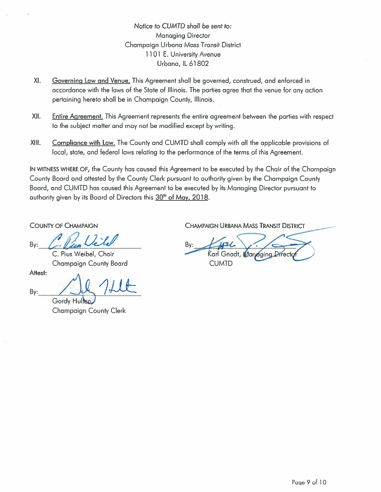Notice to CUMTD shall be sent to: **Managing Director** Champaign Urbana Mass Transit District 1101 E. University Avenue Urbana, IL 61802

- XI. Governing Law and Venue. This Agreement shall be governed, construed, and enforced in accordance with the laws of the State of Illinois. The parties agree that the venue for any action pertaining hereto shall be in Champaign County, Illinois.
- XII. Entire Agreement. This Agreement represents the entire agreement between the parties with respect to the subject matter and may not be modified except by writing.
- XIII. Compliance with Law. The County and CUMTD shall comply with all the applicable provisions of local, state, and federal laws relating to the performance of the terms of this Agreement.

IN WITNESS WHERE OF, the County has caused this Agreement to be executed by the Chair of the Champaign County Board and attested by the County Clerk pursuant to authority given by the Champaign County Board, and CUMTD has caused this Agreement to be executed by its Managing Director pursuant to authority given by its Board of Directors this 30<sup>th</sup> of May, 2018.

**COUNTY OF CHAMPAIGN** 

By:

C. Pius Weibel, Chair **Champaign County Board** 

Attest:

By:

Gordy Hullen **Champaign County Clerk** 

**CHAMPAIGN URBANA MASS TRANSIT DISTRICT** 

Bv: Managing Direct **CUMTD**